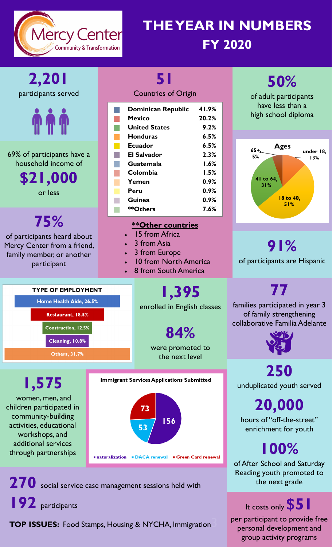

## **THE YEAR IN NUMBERS FY 2020**



personal development and group activity programs